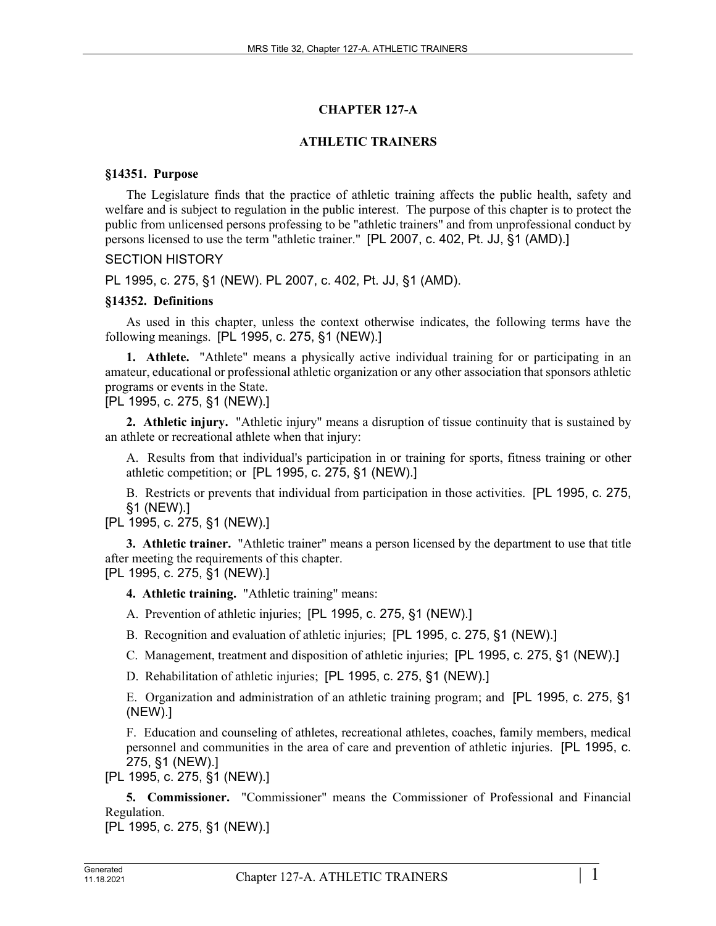# **CHAPTER 127-A**

# **ATHLETIC TRAINERS**

### **§14351. Purpose**

The Legislature finds that the practice of athletic training affects the public health, safety and welfare and is subject to regulation in the public interest. The purpose of this chapter is to protect the public from unlicensed persons professing to be "athletic trainers" and from unprofessional conduct by persons licensed to use the term "athletic trainer." [PL 2007, c. 402, Pt. JJ, §1 (AMD).]

### SECTION HISTORY

PL 1995, c. 275, §1 (NEW). PL 2007, c. 402, Pt. JJ, §1 (AMD).

### **§14352. Definitions**

As used in this chapter, unless the context otherwise indicates, the following terms have the following meanings. [PL 1995, c. 275, §1 (NEW).]

**1. Athlete.** "Athlete" means a physically active individual training for or participating in an amateur, educational or professional athletic organization or any other association that sponsors athletic programs or events in the State.

[PL 1995, c. 275, §1 (NEW).]

**2. Athletic injury.** "Athletic injury" means a disruption of tissue continuity that is sustained by an athlete or recreational athlete when that injury:

A. Results from that individual's participation in or training for sports, fitness training or other athletic competition; or [PL 1995, c. 275, §1 (NEW).]

B. Restricts or prevents that individual from participation in those activities. [PL 1995, c. 275, §1 (NEW).]

[PL 1995, c. 275, §1 (NEW).]

**3. Athletic trainer.** "Athletic trainer" means a person licensed by the department to use that title after meeting the requirements of this chapter. [PL 1995, c. 275, §1 (NEW).]

**4. Athletic training.** "Athletic training" means:

A. Prevention of athletic injuries; [PL 1995, c. 275, §1 (NEW).]

B. Recognition and evaluation of athletic injuries; [PL 1995, c. 275, §1 (NEW).]

C. Management, treatment and disposition of athletic injuries; [PL 1995, c. 275, §1 (NEW).]

D. Rehabilitation of athletic injuries; [PL 1995, c. 275, §1 (NEW).]

E. Organization and administration of an athletic training program; and [PL 1995, c. 275, §1 (NEW).]

F. Education and counseling of athletes, recreational athletes, coaches, family members, medical personnel and communities in the area of care and prevention of athletic injuries. [PL 1995, c. 275, §1 (NEW).]

[PL 1995, c. 275, §1 (NEW).]

**5. Commissioner.** "Commissioner" means the Commissioner of Professional and Financial Regulation.

[PL 1995, c. 275, §1 (NEW).]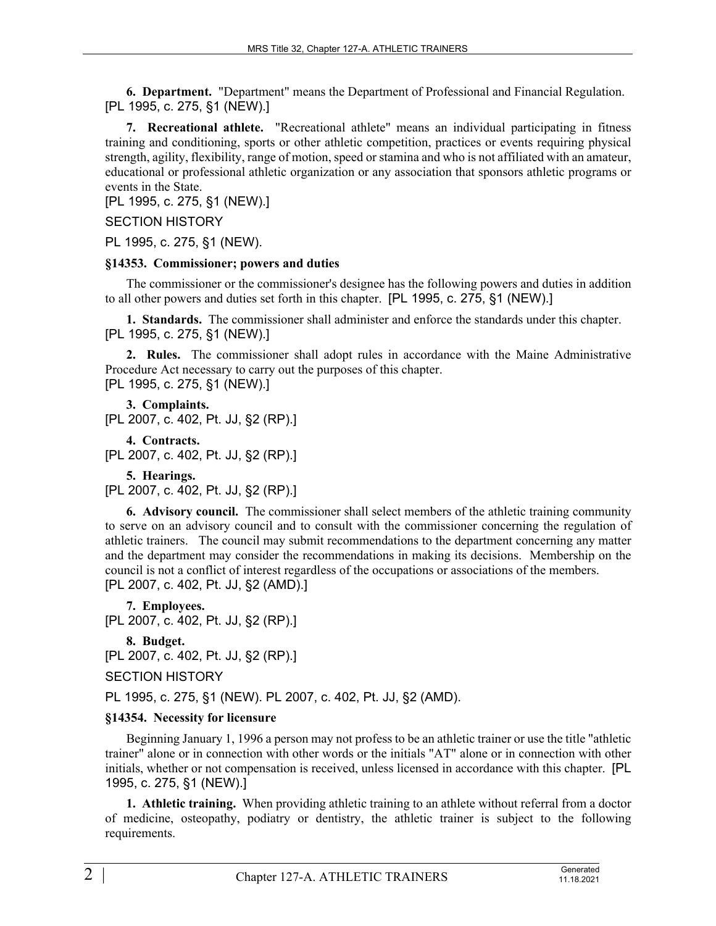**6. Department.** "Department" means the Department of Professional and Financial Regulation. [PL 1995, c. 275, §1 (NEW).]

**7. Recreational athlete.** "Recreational athlete" means an individual participating in fitness training and conditioning, sports or other athletic competition, practices or events requiring physical strength, agility, flexibility, range of motion, speed or stamina and who is not affiliated with an amateur, educational or professional athletic organization or any association that sponsors athletic programs or events in the State.

[PL 1995, c. 275, §1 (NEW).]

### SECTION HISTORY

PL 1995, c. 275, §1 (NEW).

### **§14353. Commissioner; powers and duties**

The commissioner or the commissioner's designee has the following powers and duties in addition to all other powers and duties set forth in this chapter. [PL 1995, c. 275, §1 (NEW).]

**1. Standards.** The commissioner shall administer and enforce the standards under this chapter. [PL 1995, c. 275, §1 (NEW).]

**2. Rules.** The commissioner shall adopt rules in accordance with the Maine Administrative Procedure Act necessary to carry out the purposes of this chapter. [PL 1995, c. 275, §1 (NEW).]

**3. Complaints.**  [PL 2007, c. 402, Pt. JJ, §2 (RP).]

**4. Contracts.**  [PL 2007, c. 402, Pt. JJ, §2 (RP).]

**5. Hearings.** 

[PL 2007, c. 402, Pt. JJ, §2 (RP).]

**6. Advisory council.** The commissioner shall select members of the athletic training community to serve on an advisory council and to consult with the commissioner concerning the regulation of athletic trainers. The council may submit recommendations to the department concerning any matter and the department may consider the recommendations in making its decisions. Membership on the council is not a conflict of interest regardless of the occupations or associations of the members. [PL 2007, c. 402, Pt. JJ, §2 (AMD).]

**7. Employees.**  [PL 2007, c. 402, Pt. JJ, §2 (RP).]

**8. Budget.**  [PL 2007, c. 402, Pt. JJ, §2 (RP).]

SECTION HISTORY

PL 1995, c. 275, §1 (NEW). PL 2007, c. 402, Pt. JJ, §2 (AMD).

# **§14354. Necessity for licensure**

Beginning January 1, 1996 a person may not profess to be an athletic trainer or use the title "athletic trainer" alone or in connection with other words or the initials "AT" alone or in connection with other initials, whether or not compensation is received, unless licensed in accordance with this chapter. [PL 1995, c. 275, §1 (NEW).]

**1. Athletic training.** When providing athletic training to an athlete without referral from a doctor of medicine, osteopathy, podiatry or dentistry, the athletic trainer is subject to the following requirements.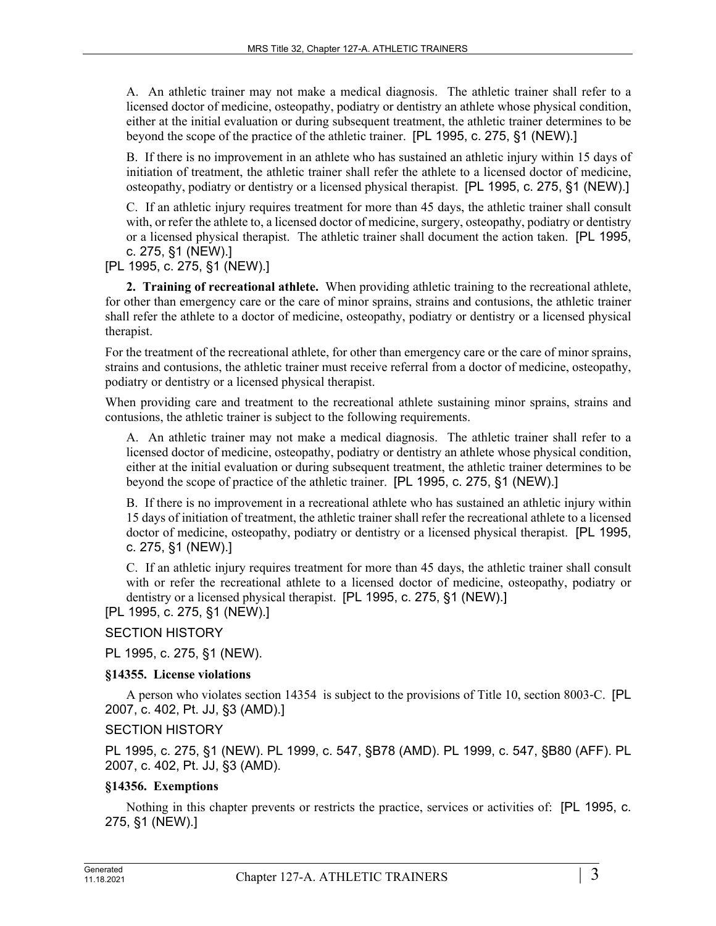A. An athletic trainer may not make a medical diagnosis. The athletic trainer shall refer to a licensed doctor of medicine, osteopathy, podiatry or dentistry an athlete whose physical condition, either at the initial evaluation or during subsequent treatment, the athletic trainer determines to be beyond the scope of the practice of the athletic trainer. [PL 1995, c. 275, §1 (NEW).]

B. If there is no improvement in an athlete who has sustained an athletic injury within 15 days of initiation of treatment, the athletic trainer shall refer the athlete to a licensed doctor of medicine, osteopathy, podiatry or dentistry or a licensed physical therapist. [PL 1995, c. 275, §1 (NEW).]

C. If an athletic injury requires treatment for more than 45 days, the athletic trainer shall consult with, or refer the athlete to, a licensed doctor of medicine, surgery, osteopathy, podiatry or dentistry or a licensed physical therapist. The athletic trainer shall document the action taken. [PL 1995, c. 275, §1 (NEW).]

[PL 1995, c. 275, §1 (NEW).]

**2. Training of recreational athlete.** When providing athletic training to the recreational athlete, for other than emergency care or the care of minor sprains, strains and contusions, the athletic trainer shall refer the athlete to a doctor of medicine, osteopathy, podiatry or dentistry or a licensed physical therapist.

For the treatment of the recreational athlete, for other than emergency care or the care of minor sprains, strains and contusions, the athletic trainer must receive referral from a doctor of medicine, osteopathy, podiatry or dentistry or a licensed physical therapist.

When providing care and treatment to the recreational athlete sustaining minor sprains, strains and contusions, the athletic trainer is subject to the following requirements.

A. An athletic trainer may not make a medical diagnosis. The athletic trainer shall refer to a licensed doctor of medicine, osteopathy, podiatry or dentistry an athlete whose physical condition, either at the initial evaluation or during subsequent treatment, the athletic trainer determines to be beyond the scope of practice of the athletic trainer. [PL 1995, c. 275, §1 (NEW).]

B. If there is no improvement in a recreational athlete who has sustained an athletic injury within 15 days of initiation of treatment, the athletic trainer shall refer the recreational athlete to a licensed doctor of medicine, osteopathy, podiatry or dentistry or a licensed physical therapist. [PL 1995, c. 275, §1 (NEW).]

C. If an athletic injury requires treatment for more than 45 days, the athletic trainer shall consult with or refer the recreational athlete to a licensed doctor of medicine, osteopathy, podiatry or dentistry or a licensed physical therapist. [PL 1995, c. 275, §1 (NEW).]

[PL 1995, c. 275, §1 (NEW).]

SECTION HISTORY

PL 1995, c. 275, §1 (NEW).

### **§14355. License violations**

A person who violates section 14354 is subject to the provisions of Title 10, section 8003‑C. [PL 2007, c. 402, Pt. JJ, §3 (AMD).]

### SECTION HISTORY

PL 1995, c. 275, §1 (NEW). PL 1999, c. 547, §B78 (AMD). PL 1999, c. 547, §B80 (AFF). PL 2007, c. 402, Pt. JJ, §3 (AMD).

# **§14356. Exemptions**

Nothing in this chapter prevents or restricts the practice, services or activities of: [PL 1995, c. 275, §1 (NEW).]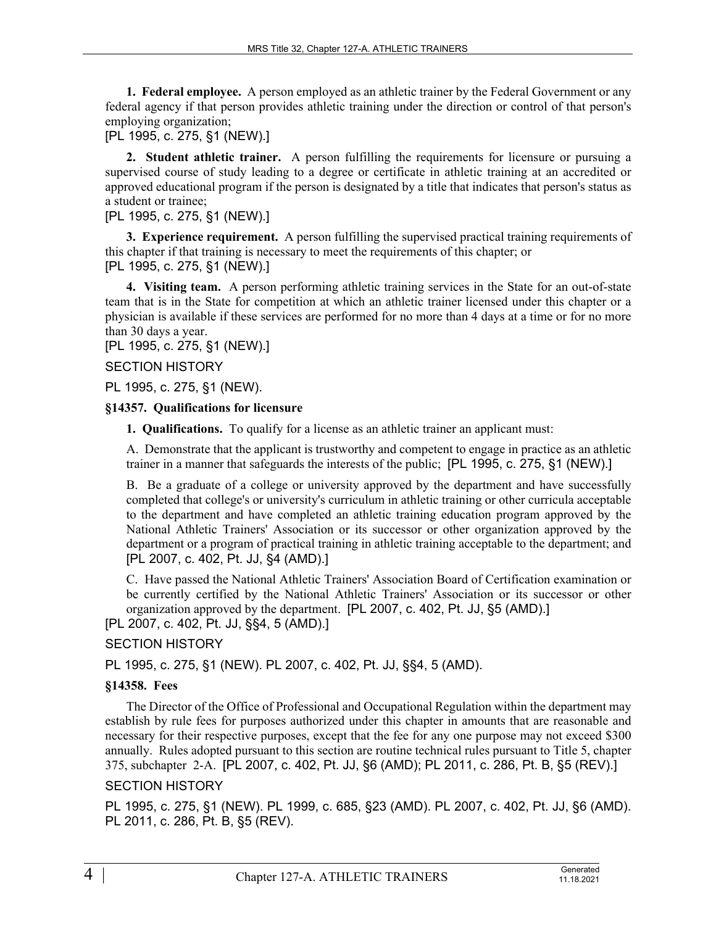**1. Federal employee.** A person employed as an athletic trainer by the Federal Government or any federal agency if that person provides athletic training under the direction or control of that person's employing organization;

[PL 1995, c. 275, §1 (NEW).]

**2. Student athletic trainer.** A person fulfilling the requirements for licensure or pursuing a supervised course of study leading to a degree or certificate in athletic training at an accredited or approved educational program if the person is designated by a title that indicates that person's status as a student or trainee;

[PL 1995, c. 275, §1 (NEW).]

**3. Experience requirement.** A person fulfilling the supervised practical training requirements of this chapter if that training is necessary to meet the requirements of this chapter; or

[PL 1995, c. 275, §1 (NEW).]

**4. Visiting team.** A person performing athletic training services in the State for an out-of-state team that is in the State for competition at which an athletic trainer licensed under this chapter or a physician is available if these services are performed for no more than 4 days at a time or for no more than 30 days a year.

[PL 1995, c. 275, §1 (NEW).]

SECTION HISTORY

PL 1995, c. 275, §1 (NEW).

#### **§14357. Qualifications for licensure**

**1. Qualifications.** To qualify for a license as an athletic trainer an applicant must:

A. Demonstrate that the applicant is trustworthy and competent to engage in practice as an athletic trainer in a manner that safeguards the interests of the public; [PL 1995, c. 275, §1 (NEW).]

B. Be a graduate of a college or university approved by the department and have successfully completed that college's or university's curriculum in athletic training or other curricula acceptable to the department and have completed an athletic training education program approved by the National Athletic Trainers' Association or its successor or other organization approved by the department or a program of practical training in athletic training acceptable to the department; and [PL 2007, c. 402, Pt. JJ, §4 (AMD).]

C. Have passed the National Athletic Trainers' Association Board of Certification examination or be currently certified by the National Athletic Trainers' Association or its successor or other organization approved by the department. [PL 2007, c. 402, Pt. JJ, §5 (AMD).] [PL 2007, c. 402, Pt. JJ, §§4, 5 (AMD).]

# SECTION HISTORY

PL 1995, c. 275, §1 (NEW). PL 2007, c. 402, Pt. JJ, §§4, 5 (AMD).

### **§14358. Fees**

The Director of the Office of Professional and Occupational Regulation within the department may establish by rule fees for purposes authorized under this chapter in amounts that are reasonable and necessary for their respective purposes, except that the fee for any one purpose may not exceed \$300 annually. Rules adopted pursuant to this section are routine technical rules pursuant to Title 5, chapter 375, subchapter 2-A. [PL 2007, c. 402, Pt. JJ, §6 (AMD); PL 2011, c. 286, Pt. B, §5 (REV).] SECTION HISTORY

PL 1995, c. 275, §1 (NEW). PL 1999, c. 685, §23 (AMD). PL 2007, c. 402, Pt. JJ, §6 (AMD). PL 2011, c. 286, Pt. B, §5 (REV).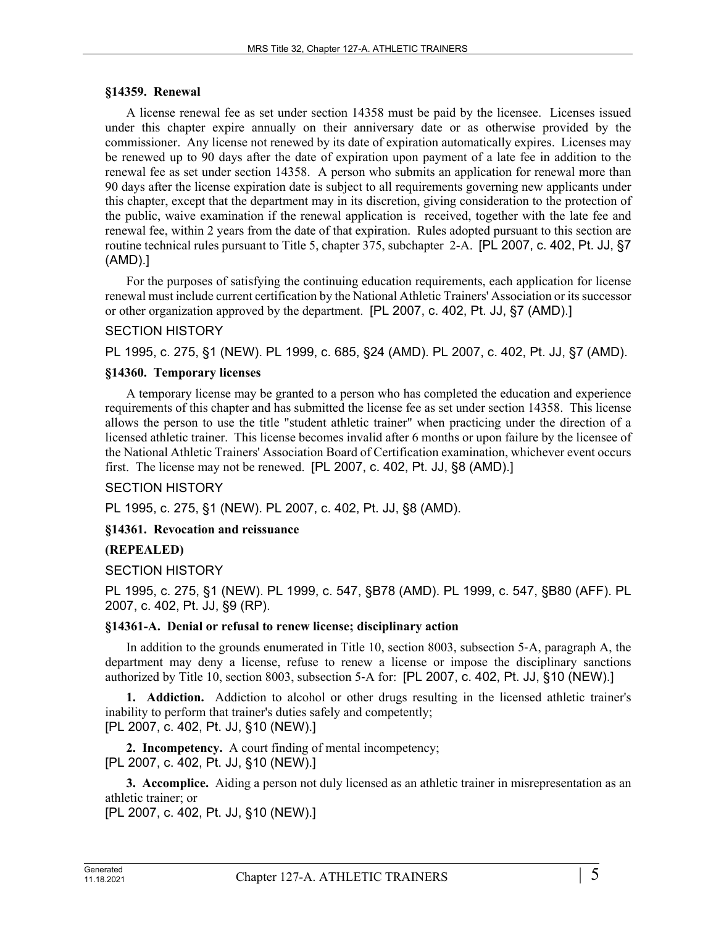#### **§14359. Renewal**

A license renewal fee as set under section 14358 must be paid by the licensee. Licenses issued under this chapter expire annually on their anniversary date or as otherwise provided by the commissioner. Any license not renewed by its date of expiration automatically expires. Licenses may be renewed up to 90 days after the date of expiration upon payment of a late fee in addition to the renewal fee as set under section 14358. A person who submits an application for renewal more than 90 days after the license expiration date is subject to all requirements governing new applicants under this chapter, except that the department may in its discretion, giving consideration to the protection of the public, waive examination if the renewal application is received, together with the late fee and renewal fee, within 2 years from the date of that expiration. Rules adopted pursuant to this section are routine technical rules pursuant to Title 5, chapter 375, subchapter 2-A. [PL 2007, c. 402, Pt. JJ, §7 (AMD).]

For the purposes of satisfying the continuing education requirements, each application for license renewal must include current certification by the National Athletic Trainers' Association or its successor or other organization approved by the department. [PL 2007, c. 402, Pt. JJ, §7 (AMD).]

### SECTION HISTORY

PL 1995, c. 275, §1 (NEW). PL 1999, c. 685, §24 (AMD). PL 2007, c. 402, Pt. JJ, §7 (AMD).

### **§14360. Temporary licenses**

A temporary license may be granted to a person who has completed the education and experience requirements of this chapter and has submitted the license fee as set under section 14358. This license allows the person to use the title "student athletic trainer" when practicing under the direction of a licensed athletic trainer. This license becomes invalid after 6 months or upon failure by the licensee of the National Athletic Trainers' Association Board of Certification examination, whichever event occurs first. The license may not be renewed. [PL 2007, c. 402, Pt. JJ, §8 (AMD).]

### SECTION HISTORY

PL 1995, c. 275, §1 (NEW). PL 2007, c. 402, Pt. JJ, §8 (AMD).

### **§14361. Revocation and reissuance**

### **(REPEALED)**

### SECTION HISTORY

PL 1995, c. 275, §1 (NEW). PL 1999, c. 547, §B78 (AMD). PL 1999, c. 547, §B80 (AFF). PL 2007, c. 402, Pt. JJ, §9 (RP).

### **§14361-A. Denial or refusal to renew license; disciplinary action**

In addition to the grounds enumerated in Title 10, section 8003, subsection 5‑A, paragraph A, the department may deny a license, refuse to renew a license or impose the disciplinary sanctions authorized by Title 10, section 8003, subsection 5‑A for: [PL 2007, c. 402, Pt. JJ, §10 (NEW).]

**1. Addiction.** Addiction to alcohol or other drugs resulting in the licensed athletic trainer's inability to perform that trainer's duties safely and competently; [PL 2007, c. 402, Pt. JJ, §10 (NEW).]

**2. Incompetency.** A court finding of mental incompetency; [PL 2007, c. 402, Pt. JJ, §10 (NEW).]

**3. Accomplice.** Aiding a person not duly licensed as an athletic trainer in misrepresentation as an athletic trainer; or

[PL 2007, c. 402, Pt. JJ, §10 (NEW).]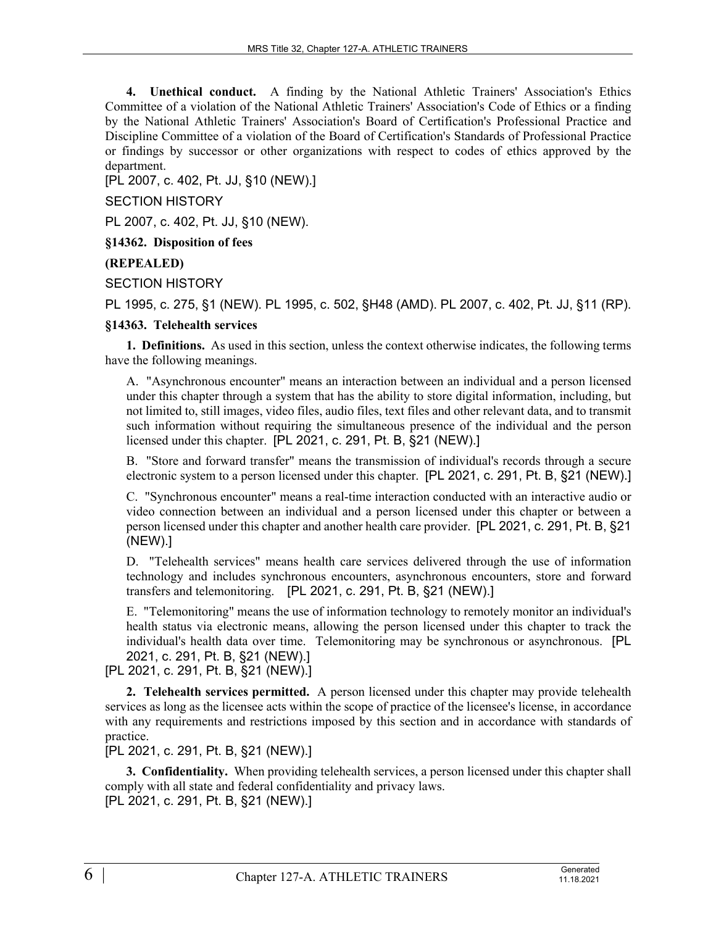**4. Unethical conduct.** A finding by the National Athletic Trainers' Association's Ethics Committee of a violation of the National Athletic Trainers' Association's Code of Ethics or a finding by the National Athletic Trainers' Association's Board of Certification's Professional Practice and Discipline Committee of a violation of the Board of Certification's Standards of Professional Practice or findings by successor or other organizations with respect to codes of ethics approved by the department.

[PL 2007, c. 402, Pt. JJ, §10 (NEW).]

SECTION HISTORY

PL 2007, c. 402, Pt. JJ, §10 (NEW).

**§14362. Disposition of fees**

**(REPEALED)**

SECTION HISTORY

PL 1995, c. 275, §1 (NEW). PL 1995, c. 502, §H48 (AMD). PL 2007, c. 402, Pt. JJ, §11 (RP).

# **§14363. Telehealth services**

**1. Definitions.** As used in this section, unless the context otherwise indicates, the following terms have the following meanings.

A. "Asynchronous encounter" means an interaction between an individual and a person licensed under this chapter through a system that has the ability to store digital information, including, but not limited to, still images, video files, audio files, text files and other relevant data, and to transmit such information without requiring the simultaneous presence of the individual and the person licensed under this chapter. [PL 2021, c. 291, Pt. B, §21 (NEW).]

B. "Store and forward transfer" means the transmission of individual's records through a secure electronic system to a person licensed under this chapter. [PL 2021, c. 291, Pt. B, §21 (NEW).]

C. "Synchronous encounter" means a real-time interaction conducted with an interactive audio or video connection between an individual and a person licensed under this chapter or between a person licensed under this chapter and another health care provider. [PL 2021, c. 291, Pt. B, §21 (NEW).]

D. "Telehealth services" means health care services delivered through the use of information technology and includes synchronous encounters, asynchronous encounters, store and forward transfers and telemonitoring. [PL 2021, c. 291, Pt. B, §21 (NEW).]

E. "Telemonitoring" means the use of information technology to remotely monitor an individual's health status via electronic means, allowing the person licensed under this chapter to track the individual's health data over time. Telemonitoring may be synchronous or asynchronous. [PL 2021, c. 291, Pt. B, §21 (NEW).]

[PL 2021, c. 291, Pt. B, §21 (NEW).]

**2. Telehealth services permitted.** A person licensed under this chapter may provide telehealth services as long as the licensee acts within the scope of practice of the licensee's license, in accordance with any requirements and restrictions imposed by this section and in accordance with standards of practice.

[PL 2021, c. 291, Pt. B, §21 (NEW).]

**3. Confidentiality.** When providing telehealth services, a person licensed under this chapter shall comply with all state and federal confidentiality and privacy laws. [PL 2021, c. 291, Pt. B, §21 (NEW).]